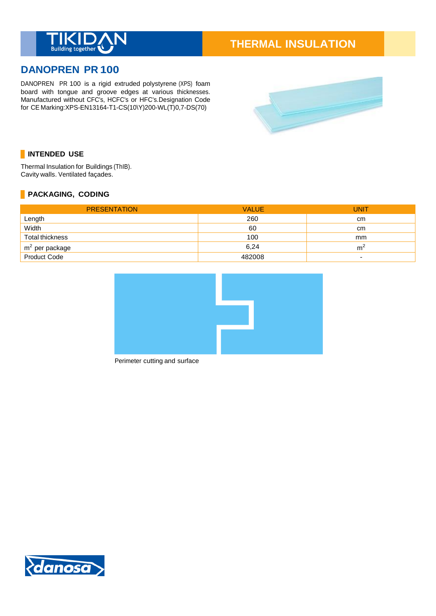

# **THERMAL INSULATION**

# **DANOPREN PR 100**

DANOPREN PR 100 is a rigid extruded polystyrene (XPS) foam board with tongue and groove edges at various thicknesses. Manufactured without CFC's, HCFC's or HFC's.Designation Code for CE Marking:XPS-EN13164-T1-CS(10\Y)200-WL(T)0,7-DS(70)



## **INTENDED USE**

Thermal Insulation for Buildings (ThIB). Cavity walls. Ventilated façades.

#### **PACKAGING, CODING**

| <b>PRESENTATION</b> | <b>VALUE</b> | <b>UNIT</b>              |
|---------------------|--------------|--------------------------|
| Length              | 260          | cm                       |
| Width               | 60           | cm                       |
| Total thickness     | 100          | mm                       |
| $m2$ per package    | 6.24         | m                        |
| Product Code        | 482008       | $\overline{\phantom{0}}$ |



Perimeter cutting and surface

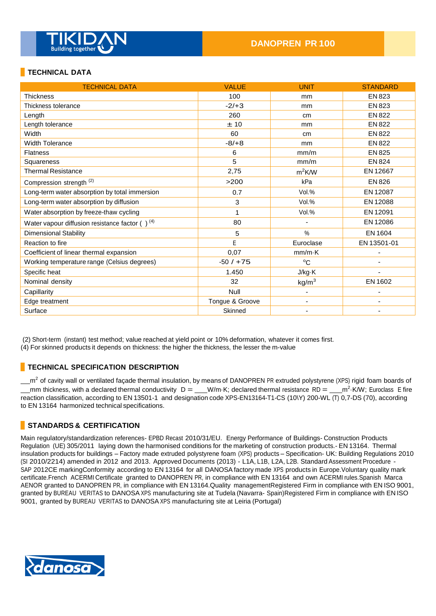

#### **TECHNICAL DATA**

| <b>TECHNICAL DATA</b>                                | <b>VALUE</b>    | <b>UNIT</b>       | <b>STANDARD</b> |
|------------------------------------------------------|-----------------|-------------------|-----------------|
| <b>Thickness</b>                                     | 100             | mm                | EN 823          |
| Thickness tolerance                                  | $-2/+3$         | mm                | <b>EN 823</b>   |
| Length                                               | 260             | cm                | <b>EN 822</b>   |
| Length tolerance                                     | ±10             | mm                | <b>EN 822</b>   |
| Width                                                | 60              | cm                | <b>EN 822</b>   |
| <b>Width Tolerance</b>                               | $-8/ +8$        | mm                | <b>EN 822</b>   |
| <b>Flatness</b>                                      | 6               | mm/m              | <b>EN 825</b>   |
| Squareness                                           | 5               | mm/m              | <b>EN 824</b>   |
| <b>Thermal Resistance</b>                            | 2,75            | $m^2$ K/W         | EN 12667        |
| Compression strength <sup>(2)</sup>                  | >200            | kPa               | <b>EN 826</b>   |
| Long-term water absorption by total immersion        | 0.7             | Vol.%             | EN 12087        |
| Long-term water absorption by diffusion              | 3               | Vol.%             | EN 12088        |
| Water absorption by freeze-thaw cycling              |                 | Vol.%             | EN 12091        |
| Water vapour diffusion resistance factor $( )^{(4)}$ | 80              | $\blacksquare$    | EN 12086        |
| <b>Dimensional Stability</b>                         | 5               | $\%$              | EN 1604         |
| Reaction to fire                                     | E               | Euroclase         | EN 13501-01     |
| Coefficient of linear thermal expansion              | 0.07            | $mm/m\cdot K$     |                 |
| Working temperature range (Celsius degrees)          | $-50/ + 75$     | $^{\circ}C$       |                 |
| Specific heat                                        | 1.450           | J/kg·K            |                 |
| Nominal density                                      | 32              | kg/m <sup>3</sup> | EN 1602         |
| Capillarity                                          | Null            |                   |                 |
| Edge treatment                                       | Tongue & Groove | $\blacksquare$    |                 |
| Surface                                              | Skinned         |                   |                 |

(2) Short-term (instant) test method; value reached at yield point or 10% deformation, whatever it comes first.

(4) For skinned products it depends on thickness: the higher the thickness, the lesser the m-value

#### **TECHNICAL SPECIFICATION DESCRIPTION**

 $m^2$  of cavity wall or ventilated façade thermal insulation, by means of DANOPREN PR extruded polystyrene (XPS) rigid foam boards of mm thickness, with a declared thermal conductivity  $D = \underline{\hspace{1cm}} W/m$  K; declared thermal resistance RD =  $\underline{\hspace{1cm}} m^2$  K/W; Euroclass E fire reaction classification, according to EN 13501-1 and designation code XPS-EN13164-T1-CS (10\Y) 200-WL (T) 0,7-DS (70), according to EN 13164 harmonized technical specifications.

#### **STANDARDS & CERTIFICATION**

Main regulatory/standardization references- EPBD Recast 2010/31/EU. Energy Performance of Buildings- Construction Products Regulation (UE) 305/2011 laying down the harmonised conditions for the marketing of construction products.- EN 13164. Thermal insulation products for buildings – Factory made extruded polystyrene foam (XPS) products – Specification- UK: Building Regulations 2010 (SI 2010/2214) amended in 2012 and 2013. Approved Documents (2013) - L1A, L1B, L2A, L2B. Standard Assessment Procedure - SAP 2012CE markingConformity according to EN 13164 for all DANOSA factory made XPS products in Europe.Voluntary quality mark certificate.French ACERMI Certificate granted to DANOPREN PR, in compliance with EN 13164 and own ACERMI rules.Spanish Marca AENOR granted to DANOPREN PR, in compliance with EN 13164.Quality managementRegistered Firm in compliance with EN ISO 9001, granted by BUREAU VERITAS to DANOSA XPS manufacturing site at Tudela (Navarra- Spain)Registered Firm in compliance with EN ISO 9001, granted by BUREAU VERITAS to DANOSA XPS manufacturing site at Leiria (Portugal)

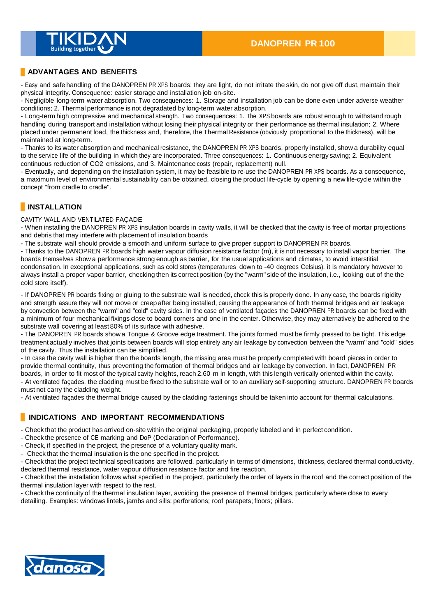

#### **ADVANTAGES AND BENEFITS**

- Easy and safe handling of the DANOPREN PR XPS boards: they are light, do not irritate the skin, do not give off dust, maintain their physical integrity. Consequence: easier storage and installation job on-site.

- Negligible long-term water absorption. Two consequences: 1. Storage and installation job can be done even under adverse weather conditions; 2. Thermal performance is not degradated by long-term water absorption.

- Long-term high compressive and mechanical strength. Two consequences: 1. The XPS boards are robust enough to withstand rough handling during transport and installation without losing their physical integrity or their performance as thermal insulation; 2. Where placed under permanent load, the thickness and, therefore, the Thermal Resistance (obviously proportional to the thickness), will be maintained at long-term.

- Thanks to its water absorption and mechanical resistance, the DANOPREN PR XPS boards, properly installed, show a durability equal to the service life of the building in which they are incorporated. Three consequences: 1. Continuous energy saving; 2. Equivalent continuous reduction of CO2 emissions, and 3. Maintenance costs (repair, replacement) null.

- Eventually, and depending on the installation system, it may be feasible to re-use the DANOPREN PR XPS boards. As a consequence, a maximum level of environmental sustainability can be obtained, closing the product life-cycle by opening a new life-cycle within the concept "from cradle to cradle".

#### **INSTALLATION**

CAVITY WALL AND VENTILATED FAÇADE

- When installing the DANOPREN PR XPS insulation boards in cavity walls, it will be checked that the cavity is free of mortar projections and debris that may interfere with placement of insulation boards

- The substrate wall should provide a smooth and uniform surface to give proper support to DANOPREN PR boards.

- Thanks to the DANOPREN PR boards high water vapour diffusion resistance factor (m), it is not necessary to install vapor barrier. The boards themselves show a performance strong enough as barrier, for the usual applications and climates, to avoid interstitial condensation. In exceptional applications, such as cold stores (temperatures down to -40 degrees Celsius), it is mandatory however to always install a proper vapor barrier, checking then its correct position (by the "warm" side of the insulation, i.e., looking out of the the cold store itself).

- If DANOPREN PR boards fixing or gluing to the substrate wall is needed, check this is properly done. In any case, the boards rigidity and strength assure they will not move or creep after being installed, causing the appearance of both thermal bridges and air leakage by convection between the "warm" and "cold" cavity sides. In the case of ventilated façades the DANOPREN PR boards can be fixed with a minimum of four mechanical fixings close to board corners and one in the center. Otherwise, they may alternatively be adhered to the substrate wall covering at least 80% of its surface with adhesive.

- The DANOPREN PR boards show a Tongue & Groove edge treatment. The joints formed must be firmly pressed to be tight. This edge treatment actually involves that joints between boards will stop entirely any air leakage by convection between the "warm" and "cold" sides of the cavity. Thus the installation can be simplified.

- In case the cavity wall is higher than the boards length, the missing area must be properly completed with board pieces in order to provide thermal continuity, thus preventing the formation of thermal bridges and air leakage by convection. In fact, DANOPREN PR boards, in order to fit most of the typical cavity heights, reach 2.60 m in length, with this length vertically oriented within the cavity. - At ventilated façades, the cladding must be fixed to the substrate wall or to an auxiliary self-supporting structure. DANOPREN PR boards must not carry the cladding weight.

- At ventilated façades the thermal bridge caused by the cladding fastenings should be taken into account for thermal calculations.

#### **INDICATIONS AND IMPORTANT RECOMMENDATIONS**

- Check that the product has arrived on-site within the original packaging, properly labeled and in perfect condition.

- Check the presence of CE marking and DoP (Declaration of Performance).
- Check, if specified in the project, the presence of a voluntary quality mark.
- Check that the thermal insulation is the one specified in the project.

- Check that the project technical specifications are followed, particularly in terms of dimensions, thickness, declared thermal conductivity, declared thermal resistance, water vapour diffusion resistance factor and fire reaction.

- Check that the installation follows what specified in the project, particularly the order of layers in the roof and the correct position of the thermal insulation layer with respect to the rest.

- Check the continuity of the thermal insulation layer, avoiding the presence of thermal bridges, particularly where close to every detailing. Examples: windows lintels, jambs and sills; perforations; roof parapets; floors; pillars.